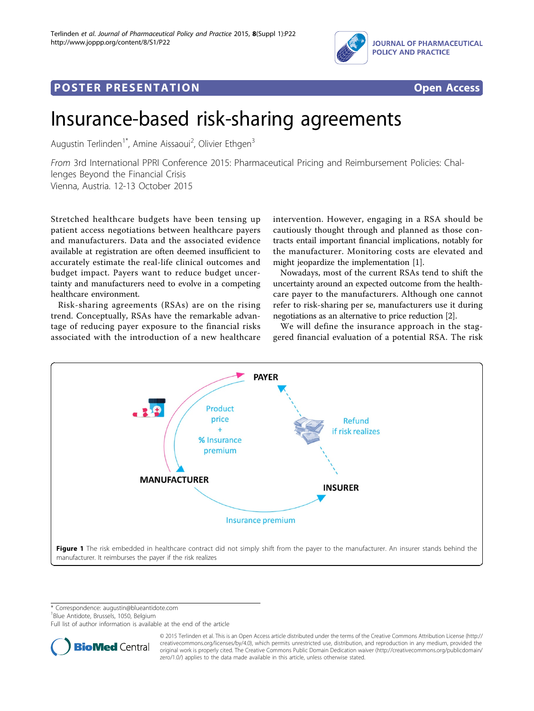

# <span id="page-0-0"></span>Post Experimental Policing Construction of the St Engineering Construction of the St Engineering Construction<br>Policing Construction of the St Engineering Construction of the St Engineering Construction of the St Engineer



# Insurance-based risk-sharing agreements

Augustin Terlinden<sup>1\*</sup>, Amine Aissaoui<sup>2</sup>, Olivier Ethgen<sup>3</sup>

From 3rd International PPRI Conference 2015: Pharmaceutical Pricing and Reimbursement Policies: Challenges Beyond the Financial Crisis Vienna, Austria. 12-13 October 2015

Stretched healthcare budgets have been tensing up patient access negotiations between healthcare payers and manufacturers. Data and the associated evidence available at registration are often deemed insufficient to accurately estimate the real-life clinical outcomes and budget impact. Payers want to reduce budget uncertainty and manufacturers need to evolve in a competing healthcare environment.

Risk-sharing agreements (RSAs) are on the rising trend. Conceptually, RSAs have the remarkable advantage of reducing payer exposure to the financial risks associated with the introduction of a new healthcare intervention. However, engaging in a RSA should be cautiously thought through and planned as those contracts entail important financial implications, notably for the manufacturer. Monitoring costs are elevated and might jeopardize the implementation [\[1](#page-1-0)].

Nowadays, most of the current RSAs tend to shift the uncertainty around an expected outcome from the healthcare payer to the manufacturers. Although one cannot refer to risk-sharing per se, manufacturers use it during negotiations as an alternative to price reduction [\[2\]](#page-1-0).

We will define the insurance approach in the staggered financial evaluation of a potential RSA. The risk



\* Correspondence: [augustin@blueantidote.com](mailto:augustin@blueantidote.com)

1 Blue Antidote, Brussels, 1050, Belgium

Full list of author information is available at the end of the article



© 2015 Terlinden et al. This is an Open Access article distributed under the terms of the Creative Commons Attribution License [\(http://](http://creativecommons.org/licenses/by/4.0) [creativecommons.org/licenses/by/4.0](http://creativecommons.org/licenses/by/4.0)), which permits unrestricted use, distribution, and reproduction in any medium, provided the original work is properly cited. The Creative Commons Public Domain Dedication waiver ([http://creativecommons.org/publicdomain/](http://creativecommons.org/publicdomain/zero/1.0/) [zero/1.0/](http://creativecommons.org/publicdomain/zero/1.0/)) applies to the data made available in this article, unless otherwise stated.